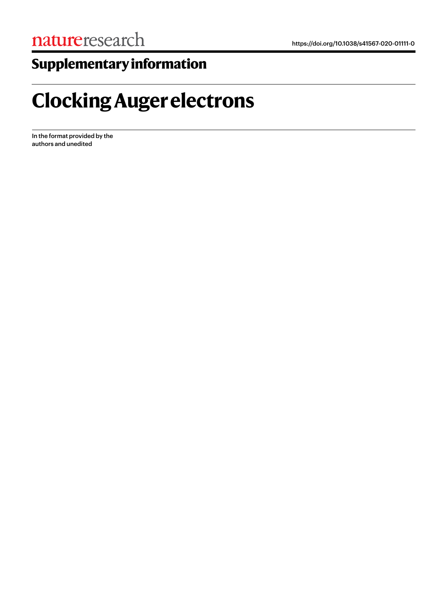## **Supplementary information**

# **Clocking Auger electrons**

In the format provided by the authors and unedited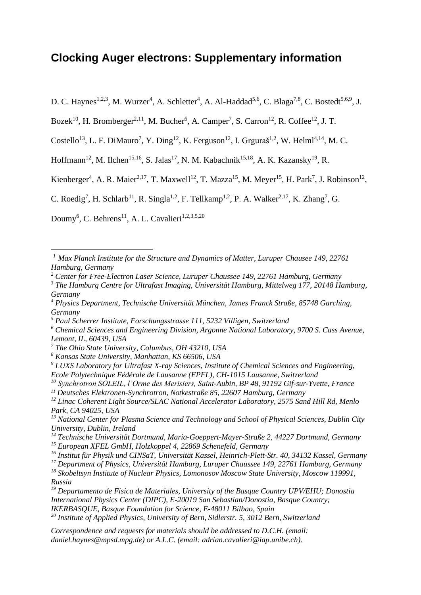### **Clocking Auger electrons: Supplementary information**

<span id="page-1-10"></span><span id="page-1-9"></span><span id="page-1-4"></span><span id="page-1-3"></span><span id="page-1-2"></span><span id="page-1-1"></span><span id="page-1-0"></span>D. C. Haynes<sup>1,2,3</sup>, M. Wu[r](#page-1-0)zer<sup>4</sup>, A. Schletter<sup>4</sup>, A. Al-Haddad<sup>[5,](#page-1-1)6</sup>, C. Blaga<sup>7,8</sup>, C. Bostedt<sup>5,[6,9](#page-1-2)</sup>, J.

<span id="page-1-8"></span><span id="page-1-5"></span>Bozek<sup>10</sup>, H. Bromberger<sup>[2,1](#page-1-3)1</sup>, M. Buche[r](#page-1-2)<sup>6</sup>, A. Camper<sup>[7](#page-1-4)</sup>, S. Carron<sup>[12](#page-1-5)</sup>, R. Coffee<sup>12</sup>, J. T.

Costello<sup>13</sup>, L. F. DiMauro<sup>[7](#page-1-4)</sup>, Y. Ding<sup>[12](#page-1-5)</sup>, K. Ferguson<sup>12</sup>, I. Grguraš<sup>1,2</sup>, W. Helml<sup>[4,](#page-1-0)14</sup>, M. C.

<span id="page-1-7"></span><span id="page-1-6"></span>Hoffmann<sup>[12](#page-1-5)</sup>, M. Ilchen<sup>[15,1](#page-1-6)6</sup>, S. Jalas<sup>17</sup>, N. M. Kabachnik<sup>15,18</sup>, A. K. Kazansky<sup>19</sup>, R.

Kienberger<sup>[4](#page-1-0)</sup>, A. R. Maier<sup>[2,](#page-1-3)[17](#page-1-7)</sup>, T. Maxwell<sup>[12](#page-1-5)</sup>, T. Mazza<sup>[15](#page-1-6)</sup>, M. Meyer<sup>15</sup>, H. Park<sup>[7](#page-1-4)</sup>, J. Robinson<sup>12</sup>,

C. Roedi[g](#page-1-4)<sup>7</sup>, H. Schlarb<sup>[11](#page-1-8)</sup>, R. Singla<sup>[1,](#page-1-9)[2](#page-1-3)</sup>, F. Tellkamp<sup>1,2</sup>, P. A. Walker<sup>[2,](#page-1-3)[17](#page-1-7)</sup>[,](#page-1-4) K. Zhang<sup>7</sup>, G.

Doumy<sup>[6](#page-1-2)</sup>, C. Behrens<sup>[11](#page-1-8)</sup>, A. L. Cavalieri<sup>[1,](#page-1-9)[2,](#page-1-3)[3,](#page-1-10)[5,2](#page-1-1)0</sup>

*<sup>20</sup> Institute of Applied Physics, University of Bern, Sidlerstr. 5, 3012 Bern, Switzerland*

*Correspondence and requests for materials should be addressed to D.C.H. (email: daniel.haynes@mpsd.mpg.de) or A.L.C. (email: adrian.cavalieri@iap.unibe.ch).*

*<sup>1</sup> Max Planck Institute for the Structure and Dynamics of Matter, Luruper Chausee 149, 22761 Hamburg, Germany*

*<sup>2</sup> Center for Free-Electron Laser Science, Luruper Chaussee 149, 22761 Hamburg, Germany*

*<sup>3</sup> The Hamburg Centre for Ultrafast Imaging, Universität Hamburg, Mittelweg 177, 20148 Hamburg, Germany*

*<sup>4</sup> Physics Department, Technische Universität München, James Franck Straße, 85748 Garching, Germany*

*<sup>5</sup> Paul Scherrer Institute, Forschungsstrasse 111, 5232 Villigen, Switzerland*

*<sup>6</sup> Chemical Sciences and Engineering Division, Argonne National Laboratory, 9700 S. Cass Avenue, Lemont, IL, 60439, USA*

*<sup>7</sup> The Ohio State University, Columbus, OH 43210, USA*

*<sup>8</sup> Kansas State University, Manhattan, KS 66506, USA*

*<sup>9</sup> LUXS Laboratory for Ultrafast X-ray Sciences, Institute of Chemical Sciences and Engineering, Ecole Polytechnique Fédérale de Lausanne (EPFL), CH-1015 Lausanne, Switzerland*

*<sup>10</sup> Synchrotron SOLEIL, l'Orme des Merisiers, Saint-Aubin, BP 48, 91192 Gif-sur-Yvette, France*

*<sup>11</sup> Deutsches Elektronen-Synchrotron, Notkestraße 85, 22607 Hamburg, Germany*

*<sup>12</sup> Linac Coherent Light Source/SLAC National Accelerator Laboratory, 2575 Sand Hill Rd, Menlo Park, CA 94025, USA*

*<sup>13</sup> National Center for Plasma Science and Technology and School of Physical Sciences, Dublin City University, Dublin, Ireland*

*<sup>14</sup> Technische Universität Dortmund, Maria-Goeppert-Mayer-Straße 2, 44227 Dortmund, Germany*

*<sup>15</sup> European XFEL GmbH, Holzkoppel 4, 22869 Schenefeld, Germany*

*<sup>16</sup> Institut für Physik und CINSaT, Universität Kassel, Heinrich-Plett-Str. 40, 34132 Kassel, Germany*

*<sup>17</sup> Department of Physics, Universität Hamburg, Luruper Chaussee 149, 22761 Hamburg, Germany*

*<sup>18</sup> Skobeltsyn Institute of Nuclear Physics, Lomonosov Moscow State University, Moscow 119991, Russia*

*<sup>19</sup> Departamento de Fisica de Materiales, University of the Basque Country UPV/EHU; Donostia International Physics Center (DIPC), E-20019 San Sebastian/Donostia, Basque Country; IKERBASQUE, Basque Foundation for Science, E-48011 Bilbao, Spain*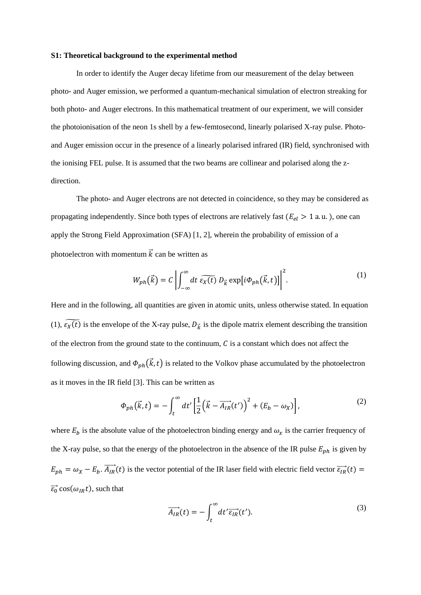#### **S1: Theoretical background to the experimental method**

In order to identify the Auger decay lifetime from our measurement of the delay between photo- and Auger emission, we performed a quantum-mechanical simulation of electron streaking for both photo- and Auger electrons. In this mathematical treatment of our experiment, we will consider the photoionisation of the neon 1s shell by a few-femtosecond, linearly polarised X-ray pulse. Photoand Auger emission occur in the presence of a linearly polarised infrared (IR) field, synchronised with the ionising FEL pulse. It is assumed that the two beams are collinear and polarised along the zdirection.

The photo- and Auger electrons are not detected in coincidence, so they may be considered as propagating independently. Since both types of electrons are relatively fast ( $E_{el} > 1$  a.u.), one can apply the Strong Field Approximation (SFA) [\[1,](#page-11-0) [2\]](#page-11-1), wherein the probability of emission of a photoelectron with momentum  $\vec{k}$  can be written as

<span id="page-2-0"></span>
$$
W_{ph}(\vec{k}) = C \left| \int_{-\infty}^{\infty} dt \, \widetilde{\varepsilon_X(t)} \, D_{\vec{k}} \exp[i\Phi_{ph}(\vec{k}, t)] \right|^2.
$$
 (1)

Here and in the following, all quantities are given in atomic units, unless otherwise stated. In equation [\(1\)](#page-2-0),  $\widetilde{\varepsilon_X(t)}$  is the envelope of the X-ray pulse,  $D_{\vec{k}}$  is the dipole matrix element describing the transition of the electron from the ground state to the continuum,  $C$  is a constant which does not affect the following discussion, and  $\Phi_{ph}(\vec{k},t)$  is related to the Volkov phase accumulated by the photoelectron as it moves in the IR field [\[3\]](#page-11-2). This can be written as

$$
\Phi_{ph}(\vec{k},t) = -\int_t^\infty dt' \left[ \frac{1}{2} \left( \vec{k} - \overrightarrow{A_{IR}}(t') \right)^2 + \left( E_b - \omega_X \right) \right],\tag{2}
$$

where  $E_b$  is the absolute value of the photoelectron binding energy and  $\omega_x$  is the carrier frequency of the X-ray pulse, so that the energy of the photoelectron in the absence of the IR pulse  $E_{ph}$  is given by  $E_{ph} = \omega_X - E_b$ .  $\overrightarrow{A_{IR}}(t)$  is the vector potential of the IR laser field with electric field vector  $\overrightarrow{\varepsilon_{IR}}(t)$  =  $\vec{\varepsilon}_0 \cos(\omega_{IR} t)$ , such that

<span id="page-2-1"></span>
$$
\overrightarrow{A_{IR}}(t) = -\int_{t}^{\infty} dt' \overrightarrow{\varepsilon_{IR}}(t'). \tag{3}
$$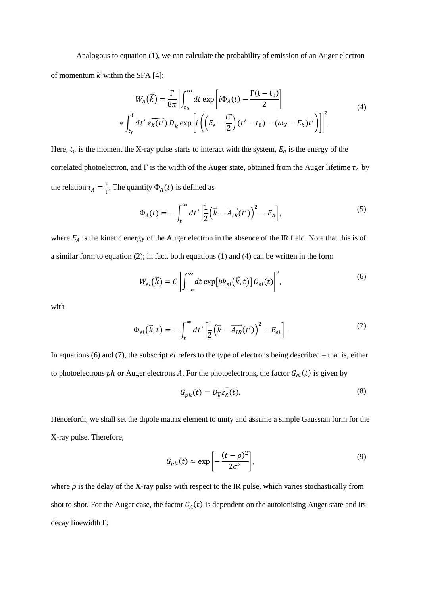Analogous to equation [\(1\)](#page-2-0), we can calculate the probability of emission of an Auger electron of momentum  $\vec{k}$  within the SFA [\[4\]](#page-11-3):

<span id="page-3-0"></span>
$$
W_A(\vec{k}) = \frac{\Gamma}{8\pi} \left| \int_{t_0}^{\infty} dt \exp\left[i\Phi_A(t) - \frac{\Gamma(t - t_0)}{2}\right] \right|
$$
  
\* 
$$
\int_{t_0}^t dt' \widetilde{\exp(t')} D_{\vec{k}} \exp\left[i\left(\left(E_e - \frac{i\Gamma}{2}\right)(t' - t_0) - (\omega_X - E_b)t'\right)\right]\right|^2.
$$
 (4)

Here,  $t_0$  is the moment the X-ray pulse starts to interact with the system,  $E_e$  is the energy of the correlated photoelectron, and  $\Gamma$  is the width of the Auger state, obtained from the Auger lifetime  $\tau_A$  by the relation  $\tau_A = \frac{1}{r}$  $\frac{1}{\Gamma}$ . The quantity  $\Phi_A(t)$  is defined as

$$
\Phi_A(t) = -\int_t^\infty dt' \left[ \frac{1}{2} \left( \vec{k} - \overrightarrow{A_{IR}}(t') \right)^2 - E_A \right],\tag{5}
$$

where  $E_A$  is the kinetic energy of the Auger electron in the absence of the IR field. Note that this is of a similar form to equation  $(2)$ ; in fact, both equations [\(1\)](#page-2-0) and [\(4\)](#page-3-0) can be written in the form

$$
W_{el}(\vec{k}) = C \left| \int_{-\infty}^{\infty} dt \exp[i\Phi_{el}(\vec{k}, t)] G_{el}(t) \right|^2, \tag{6}
$$

with

$$
\Phi_{el}(\vec{k},t) = -\int_t^{\infty} dt' \left[ \frac{1}{2} \left( \vec{k} - \overrightarrow{A_{IR}}(t') \right)^2 - E_{el} \right]. \tag{7}
$$

In equations [\(6\)](#page-3-1) and [\(7\)](#page-3-2), the subscript  $el$  refers to the type of electrons being described – that is, either to photoelectrons ph or Auger electrons A. For the photoelectrons, the factor  $G_{el}(t)$  is given by

<span id="page-3-2"></span><span id="page-3-1"></span>
$$
G_{ph}(t) = D_{\vec{k}} \widetilde{\varepsilon_X(t)}.
$$
\n(8)

Henceforth, we shall set the dipole matrix element to unity and assume a simple Gaussian form for the X-ray pulse. Therefore,

$$
G_{ph}(t) \approx \exp\left[-\frac{(t-\rho)^2}{2\sigma^2}\right],\tag{9}
$$

where  $\rho$  is the delay of the X-ray pulse with respect to the IR pulse, which varies stochastically from shot to shot. For the Auger case, the factor  $G_A(t)$  is dependent on the autoionising Auger state and its decay linewidth Γ: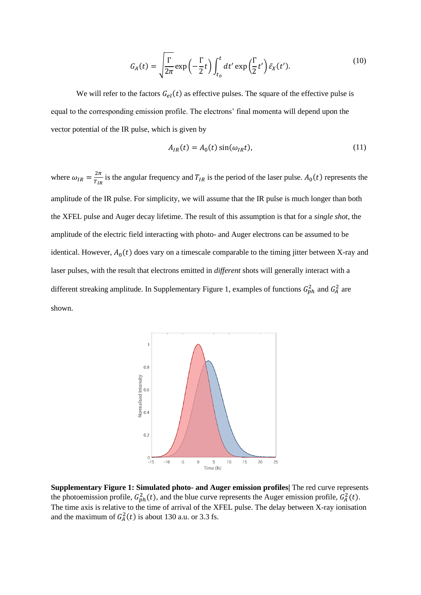$$
G_A(t) = \sqrt{\frac{\Gamma}{2\pi}} \exp\left(-\frac{\Gamma}{2}t\right) \int_{t_0}^t dt' \exp\left(\frac{\Gamma}{2}t'\right) \tilde{\varepsilon}_X(t'). \tag{10}
$$

We will refer to the factors  $G_{el}(t)$  as effective pulses. The square of the effective pulse is equal to the corresponding emission profile. The electrons' final momenta will depend upon the vector potential of the IR pulse, which is given by

$$
A_{IR}(t) = A_0(t) \sin(\omega_{IR} t), \qquad (11)
$$

where  $\omega_{IR} = \frac{2\pi}{T_{II}}$  $\frac{2\pi}{T_{IR}}$  is the angular frequency and  $T_{IR}$  is the period of the laser pulse.  $A_0(t)$  represents the amplitude of the IR pulse. For simplicity, we will assume that the IR pulse is much longer than both the XFEL pulse and Auger decay lifetime. The result of this assumption is that for a *single shot*, the amplitude of the electric field interacting with photo- and Auger electrons can be assumed to be identical. However,  $A_0(t)$  does vary on a timescale comparable to the timing jitter between X-ray and laser pulses, with the result that electrons emitted in *different* shots will generally interact with a different streaking amplitude. In [Supplementary Figure 1,](#page-4-0) examples of functions  $G_{ph}^2$  and  $G_A^2$  are shown.



<span id="page-4-0"></span>**Supplementary Figure 1: Simulated photo- and Auger emission profiles|** The red curve represents the photoemission profile,  $G_{ph}^2(t)$ , and the blue curve represents the Auger emission profile,  $G_A^2(t)$ . The time axis is relative to the time of arrival of the XFEL pulse. The delay between X-ray ionisation and the maximum of  $G_A^2(t)$  is about 130 a.u. or 3.3 fs.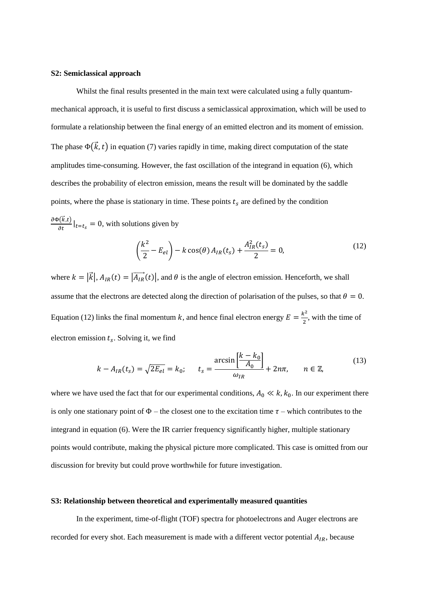#### **S2: Semiclassical approach**

Whilst the final results presented in the main text were calculated using a fully quantummechanical approach, it is useful to first discuss a semiclassical approximation, which will be used to formulate a relationship between the final energy of an emitted electron and its moment of emission. The phase  $\Phi(\vec{k},t)$  in equation [\(7\)](#page-3-2) varies rapidly in time, making direct computation of the state amplitudes time-consuming. However, the fast oscillation of the integrand in equation [\(6\)](#page-3-1), which describes the probability of electron emission, means the result will be dominated by the saddle points, where the phase is stationary in time. These points  $t_s$  are defined by the condition  $\partial \Phi(\vec{k},t)$  $\frac{\partial (h,t)}{\partial t}|_{t=t_s} = 0$ , with solutions given by

<span id="page-5-1"></span><span id="page-5-0"></span>
$$
\left(\frac{k^2}{2} - E_{el}\right) - k\cos(\theta) A_{IR}(t_s) + \frac{A_{IR}^2(t_s)}{2} = 0,
$$
\n(12)

where  $k = |\vec{k}|$ ,  $A_{IR}(t) = |\vec{A_{IR}}(t)|$ , and  $\theta$  is the angle of electron emission. Henceforth, we shall assume that the electrons are detected along the direction of polarisation of the pulses, so that  $\theta = 0$ . Equation [\(12\)](#page-5-0) links the final momentum k, and hence final electron energy  $E = \frac{k^2}{2}$  $\frac{1}{2}$ , with the time of electron emission  $t_s$ . Solving it, we find

$$
k - A_{IR}(t_s) = \sqrt{2E_{el}} = k_0; \qquad t_s = \frac{\arcsin\left[\frac{k - k_0}{A_0}\right]}{\omega_{IR}} + 2n\pi, \qquad n \in \mathbb{Z},
$$
\n(13)

where we have used the fact that for our experimental conditions,  $A_0 \ll k, k_0$ . In our experiment there is only one stationary point of  $\Phi$  – the closest one to the excitation time  $\tau$  – which contributes to the integrand in equation [\(6\)](#page-3-1). Were the IR carrier frequency significantly higher, multiple stationary points would contribute, making the physical picture more complicated. This case is omitted from our discussion for brevity but could prove worthwhile for future investigation.

#### **S3: Relationship between theoretical and experimentally measured quantities**

In the experiment, time-of-flight (TOF) spectra for photoelectrons and Auger electrons are recorded for every shot. Each measurement is made with a different vector potential  $A_{IR}$ , because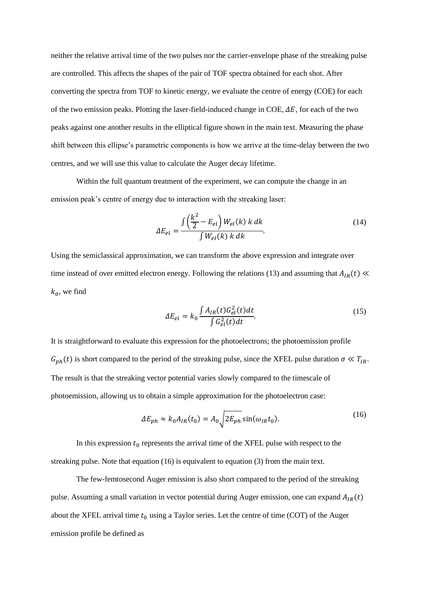neither the relative arrival time of the two pulses nor the carrier-envelope phase of the streaking pulse are controlled. This affects the shapes of the pair of TOF spectra obtained for each shot. After converting the spectra from TOF to kinetic energy, we evaluate the centre of energy (COE) for each of the two emission peaks. Plotting the laser-field-induced change in COE,  $\Delta E$ , for each of the two peaks against one another results in the elliptical figure shown in the main text. Measuring the phase shift between this ellipse's parametric components is how we arrive at the time-delay between the two centres, and we will use this value to calculate the Auger decay lifetime.

Within the full quantum treatment of the experiment, we can compute the change in an emission peak's centre of energy due to interaction with the streaking laser:

$$
\Delta E_{el} = \frac{\int \left(\frac{k^2}{2} - E_{el}\right) W_{el}(k) k dk}{\int W_{el}(k) k dk}.
$$
\n(14)

Using the semiclassical approximation, we can transform the above expression and integrate over time instead of over emitted electron energy. Following the relations [\(13\)](#page-5-1) and assuming that  $A_{IR}(t) \ll$  $k_0$ , we find

$$
\Delta E_{el} = k_0 \frac{\int A_{IR}(t) G_{el}^2(t) dt}{\int G_{el}^2(t) dt}.
$$
\n(15)

It is straightforward to evaluate this expression for the photoelectrons; the photoemission profile  $G_{ph}(t)$  is short compared to the period of the streaking pulse, since the XFEL pulse duration  $\sigma \ll T_{IR}$ . The result is that the streaking vector potential varies slowly compared to the timescale of photoemission, allowing us to obtain a simple approximation for the photoelectron case:

<span id="page-6-0"></span>
$$
\Delta E_{ph} \approx k_0 A_{IR}(t_0) = A_0 \sqrt{2E_{ph}} \sin(\omega_{IR} t_0).
$$
\n(16)

In this expression  $t_0$  represents the arrival time of the XFEL pulse with respect to the streaking pulse. Note that equation [\(16\)](#page-6-0) is equivalent to equation (3) from the main text.

The few-femtosecond Auger emission is also short compared to the period of the streaking pulse. Assuming a small variation in vector potential during Auger emission, one can expand  $A_{IR}(t)$ about the XFEL arrival time  $t_0$  using a Taylor series. Let the centre of time (COT) of the Auger emission profile be defined as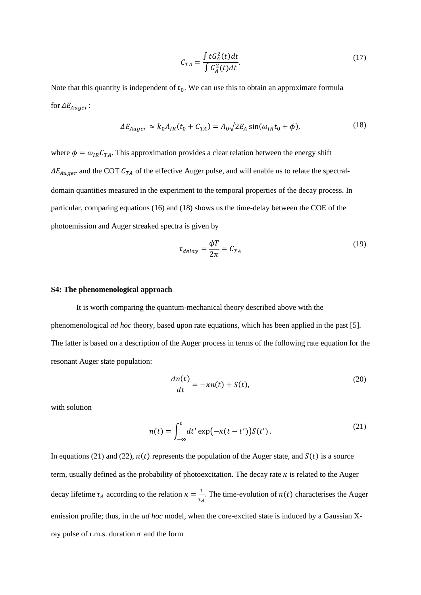<span id="page-7-0"></span>
$$
C_{TA} = \frac{\int t G_A^2(t) dt}{\int G_A^2(t) dt}.
$$
\n(17)

Note that this quantity is independent of  $t_0$ . We can use this to obtain an approximate formula for  $\Delta E_{Auger}$ :

$$
\Delta E_{Auger} \approx k_0 A_{IR}(t_0 + C_{TA}) = A_0 \sqrt{2E_A} \sin(\omega_{IR} t_0 + \phi), \tag{18}
$$

where  $\phi = \omega_{IR} C_{TA}$ . This approximation provides a clear relation between the energy shift  $\Delta E_{Auger}$  and the COT  $C_{TA}$  of the effective Auger pulse, and will enable us to relate the spectraldomain quantities measured in the experiment to the temporal properties of the decay process. In particular, comparing equations [\(16\)](#page-6-0) and [\(18\)](#page-7-0) shows us the time-delay between the COE of the photoemission and Auger streaked spectra is given by

$$
\tau_{delay} = \frac{\phi T}{2\pi} = C_{TA} \tag{19}
$$

#### **S4: The phenomenological approach**

It is worth comparing the quantum-mechanical theory described above with the phenomenological *ad hoc* theory, based upon rate equations, which has been applied in the past [\[5\]](#page-11-4). The latter is based on a description of the Auger process in terms of the following rate equation for the resonant Auger state population:

<span id="page-7-2"></span><span id="page-7-1"></span>
$$
\frac{dn(t)}{dt} = -\kappa n(t) + S(t),\tag{20}
$$

with solution

$$
n(t) = \int_{-\infty}^{t} dt' \exp(-\kappa(t - t')) S(t'). \qquad (21)
$$

In equations [\(21\)](#page-7-1) and [\(22\)](#page-8-0),  $n(t)$  represents the population of the Auger state, and  $S(t)$  is a source term, usually defined as the probability of photoexcitation. The decay rate  $\kappa$  is related to the Auger decay lifetime  $\tau_A$  according to the relation  $\kappa = \frac{1}{\tau_A}$  $\frac{1}{\tau_A}$ . The time-evolution of  $n(t)$  characterises the Auger emission profile; thus, in the *ad hoc* model, when the core-excited state is induced by a Gaussian Xray pulse of r.m.s. duration  $\sigma$  and the form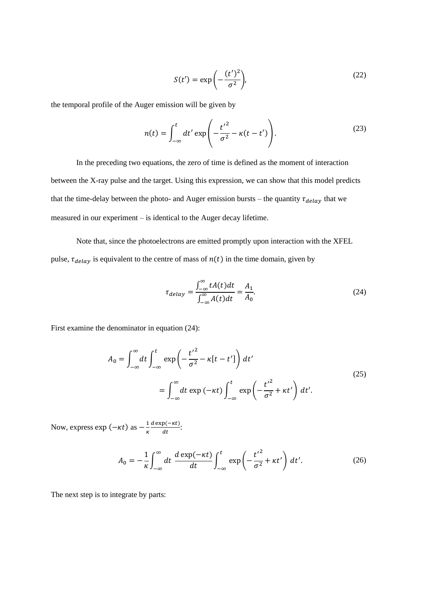<span id="page-8-0"></span>
$$
S(t') = \exp\left(-\frac{(t')^2}{\sigma^2}\right),\tag{22}
$$

the temporal profile of the Auger emission will be given by

$$
n(t) = \int_{-\infty}^{t} dt' \exp\left(-\frac{t'^2}{\sigma^2} - \kappa(t - t')\right).
$$
 (23)

In the preceding two equations, the zero of time is defined as the moment of interaction between the X-ray pulse and the target. Using this expression, we can show that this model predicts that the time-delay between the photo- and Auger emission bursts – the quantity  $\tau_{delay}$  that we measured in our experiment – is identical to the Auger decay lifetime.

Note that, since the photoelectrons are emitted promptly upon interaction with the XFEL pulse,  $\tau_{delay}$  is equivalent to the centre of mass of  $n(t)$  in the time domain, given by

<span id="page-8-2"></span><span id="page-8-1"></span>
$$
\tau_{delay} = \frac{\int_{-\infty}^{\infty} tA(t)dt}{\int_{-\infty}^{\infty} A(t)dt} = \frac{A_1}{A_0}.
$$
\n(24)

First examine the denominator in equation [\(24\)](#page-8-1):

$$
A_0 = \int_{-\infty}^{\infty} dt \int_{-\infty}^{t} \exp\left(-\frac{t'^2}{\sigma^2} - \kappa[t - t']\right) dt'
$$
  
= 
$$
\int_{-\infty}^{\infty} dt \exp(-\kappa t) \int_{-\infty}^{t} \exp\left(-\frac{t'^2}{\sigma^2} + \kappa t'\right) dt'.
$$
 (25)

Now, express exp  $(-\kappa t)$  as  $-\frac{1}{\kappa}$ ĸ  $d$  exp( $-\kappa t$ )  $\frac{p(-\kappa\iota)}{dt}$ :

$$
A_0 = -\frac{1}{\kappa} \int_{-\infty}^{\infty} dt \; \frac{d \exp(-\kappa t)}{dt} \int_{-\infty}^{t} \exp\left(-\frac{t'^2}{\sigma^2} + \kappa t'\right) dt'.
$$
 (26)

The next step is to integrate by parts: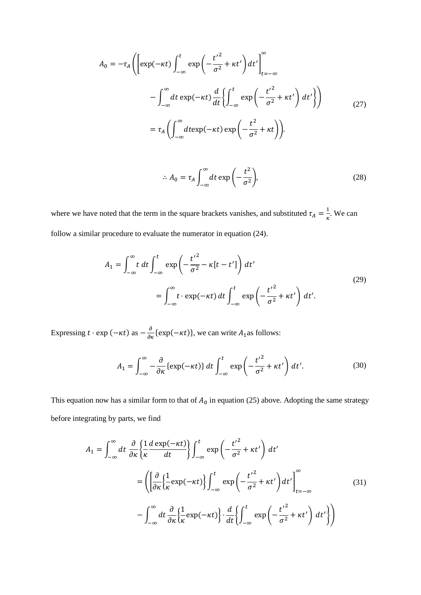$$
A_0 = -\tau_A \left( \left[ \exp(-\kappa t) \int_{-\infty}^t \exp\left( -\frac{t'^2}{\sigma^2} + \kappa t' \right) dt' \right]_{t=-\infty}^{\infty} - \int_{-\infty}^{\infty} dt \exp(-\kappa t) \frac{d}{dt} \left\{ \int_{-\infty}^t \exp\left( -\frac{t'^2}{\sigma^2} + \kappa t' \right) dt' \right\} \right)
$$
  
=  $\tau_A \left( \int_{-\infty}^{\infty} dt \exp(-\kappa t) \exp\left( -\frac{t^2}{\sigma^2} + \kappa t \right) \right).$  (27)

<span id="page-9-0"></span>
$$
\therefore A_0 = \tau_A \int_{-\infty}^{\infty} dt \exp\left(-\frac{t^2}{\sigma^2}\right),\tag{28}
$$

where we have noted that the term in the square brackets vanishes, and substituted  $\tau_A = \frac{1}{\nu}$  $\frac{1}{\kappa}$ . We can follow a similar procedure to evaluate the numerator in equation [\(24\)](#page-8-1).

$$
A_1 = \int_{-\infty}^{\infty} t \, dt \int_{-\infty}^{t} \exp\left(-\frac{t'^2}{\sigma^2} - \kappa[t - t']\right) \, dt'
$$
\n
$$
= \int_{-\infty}^{\infty} t \cdot \exp(-\kappa t) \, dt \int_{-\infty}^{t} \exp\left(-\frac{t'^2}{\sigma^2} + \kappa t'\right) \, dt'.
$$
\n(29)

Expressing  $t \cdot \exp(-\kappa t)$  as  $-\frac{\partial}{\partial t}$  ${\frac{\partial}{\partial \kappa}}$ {exp( $-\kappa t$ )}, we can write  $A_1$  as follows:

$$
A_1 = \int_{-\infty}^{\infty} -\frac{\partial}{\partial \kappa} \{ \exp(-\kappa t) \} dt \int_{-\infty}^{t} \exp\left(-\frac{{t'}^2}{\sigma^2} + \kappa t'\right) dt'.
$$
 (30)

This equation now has a similar form to that of  $A_0$  in equation [\(25\)](#page-8-2) above. Adopting the same strategy before integrating by parts, we find

$$
A_1 = \int_{-\infty}^{\infty} dt \frac{\partial}{\partial \kappa} \left\{ \frac{1}{\kappa} \frac{d \exp(-\kappa t)}{dt} \right\} \int_{-\infty}^{t} \exp\left(-\frac{t'^2}{\sigma^2} + \kappa t'\right) dt'
$$
  

$$
= \left( \left[ \frac{\partial}{\partial \kappa} \left\{ \frac{1}{\kappa} \exp(-\kappa t) \right\} \int_{-\infty}^{t} \exp\left(-\frac{t'^2}{\sigma^2} + \kappa t'\right) dt' \right]_{t=-\infty}^{\infty}
$$

$$
- \int_{-\infty}^{\infty} dt \frac{\partial}{\partial \kappa} \left\{ \frac{1}{\kappa} \exp(-\kappa t) \right\} \cdot \frac{d}{dt} \left\{ \int_{-\infty}^{t} \exp\left(-\frac{t'^2}{\sigma^2} + \kappa t'\right) dt' \right\} \right)
$$
(31)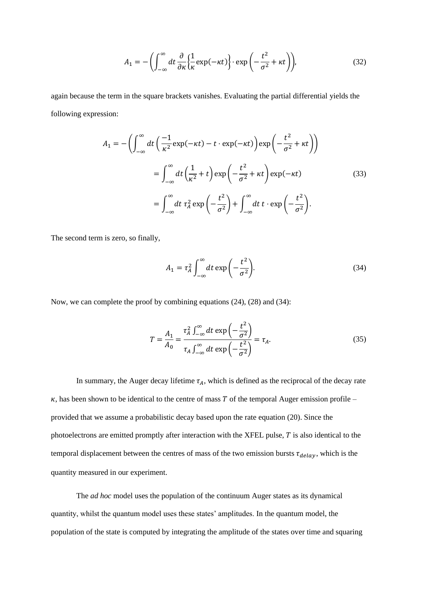$$
A_1 = -\left(\int_{-\infty}^{\infty} dt \frac{\partial}{\partial \kappa} \left\{\frac{1}{\kappa} \exp(-\kappa t)\right\} \cdot \exp\left(-\frac{t^2}{\sigma^2} + \kappa t\right)\right),\tag{32}
$$

again because the term in the square brackets vanishes. Evaluating the partial differential yields the following expression:

$$
A_1 = -\left(\int_{-\infty}^{\infty} dt \left(\frac{-1}{\kappa^2} \exp(-\kappa t) - t \cdot \exp(-\kappa t)\right) \exp\left(-\frac{t^2}{\sigma^2} + \kappa t\right)\right)
$$
  

$$
= \int_{-\infty}^{\infty} dt \left(\frac{1}{\kappa^2} + t\right) \exp\left(-\frac{t^2}{\sigma^2} + \kappa t\right) \exp(-\kappa t)
$$
(33)  

$$
= \int_{-\infty}^{\infty} dt \tau_A^2 \exp\left(-\frac{t^2}{\sigma^2}\right) + \int_{-\infty}^{\infty} dt \ t \cdot \exp\left(-\frac{t^2}{\sigma^2}\right).
$$

The second term is zero, so finally,

<span id="page-10-0"></span>
$$
A_1 = \tau_A^2 \int_{-\infty}^{\infty} dt \exp\left(-\frac{t^2}{\sigma^2}\right).
$$
 (34)

Now, we can complete the proof by combining equations [\(24\)](#page-8-1)[, \(28\)](#page-9-0) and [\(34\)](#page-10-0):

$$
T = \frac{A_1}{A_0} = \frac{\tau_A^2 \int_{-\infty}^{\infty} dt \exp\left(-\frac{t^2}{\sigma^2}\right)}{\tau_A \int_{-\infty}^{\infty} dt \exp\left(-\frac{t^2}{\sigma^2}\right)} = \tau_A.
$$
 (35)

In summary, the Auger decay lifetime  $\tau_A$ , which is defined as the reciprocal of the decay rate  $\kappa$ , has been shown to be identical to the centre of mass T of the temporal Auger emission profile – provided that we assume a probabilistic decay based upon the rate equation [\(20\)](#page-7-2). Since the photoelectrons are emitted promptly after interaction with the XFEL pulse,  $T$  is also identical to the temporal displacement between the centres of mass of the two emission bursts  $\tau_{delay}$ , which is the quantity measured in our experiment.

The *ad hoc* model uses the population of the continuum Auger states as its dynamical quantity, whilst the quantum model uses these states' amplitudes. In the quantum model, the population of the state is computed by integrating the amplitude of the states over time and squaring